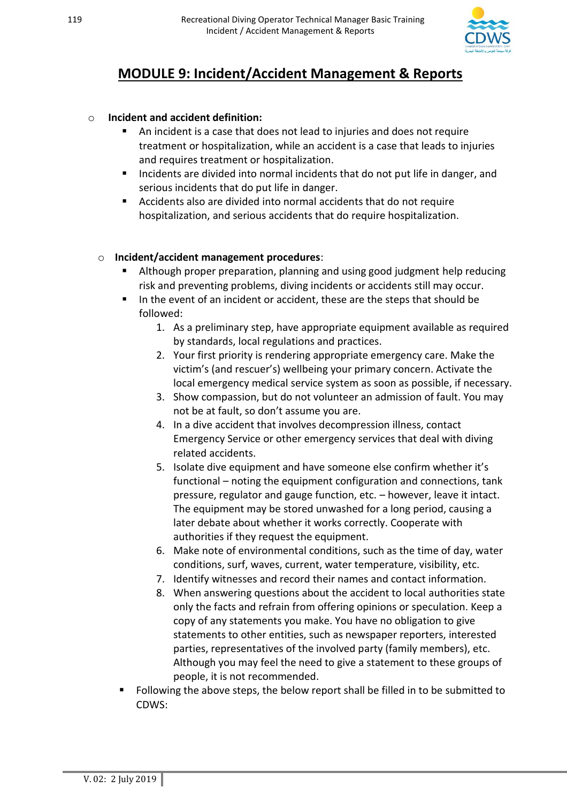

# **MODULE 9: Incident/Accident Management & Reports**

#### o **Incident and accident definition:**

- An incident is a case that does not lead to injuries and does not require treatment or hospitalization, while an accident is a case that leads to injuries and requires treatment or hospitalization.
- Incidents are divided into normal incidents that do not put life in danger, and serious incidents that do put life in danger.
- Accidents also are divided into normal accidents that do not require hospitalization, and serious accidents that do require hospitalization.

#### o **Incident/accident management procedures**:

- Although proper preparation, planning and using good judgment help reducing risk and preventing problems, diving incidents or accidents still may occur.
- In the event of an incident or accident, these are the steps that should be followed:
	- 1. As a preliminary step, have appropriate equipment available as required by standards, local regulations and practices.
	- 2. Your first priority is rendering appropriate emergency care. Make the victim's (and rescuer's) wellbeing your primary concern. Activate the local emergency medical service system as soon as possible, if necessary.
	- 3. Show compassion, but do not volunteer an admission of fault. You may not be at fault, so don't assume you are.
	- 4. In a dive accident that involves decompression illness, contact Emergency Service or other emergency services that deal with diving related accidents.
	- 5. Isolate dive equipment and have someone else confirm whether it's functional – noting the equipment configuration and connections, tank pressure, regulator and gauge function, etc. - however, leave it intact. The equipment may be stored unwashed for a long period, causing a later debate about whether it works correctly. Cooperate with authorities if they request the equipment.
	- 6. Make note of environmental conditions, such as the time of day, water conditions, surf, waves, current, water temperature, visibility, etc.
	- 7. Identify witnesses and record their names and contact information.
	- 8. When answering questions about the accident to local authorities state only the facts and refrain from offering opinions or speculation. Keep a copy of any statements you make. You have no obligation to give statements to other entities, such as newspaper reporters, interested parties, representatives of the involved party (family members), etc. Although you may feel the need to give a statement to these groups of people, it is not recommended.
- Following the above steps, the below report shall be filled in to be submitted to CDWS: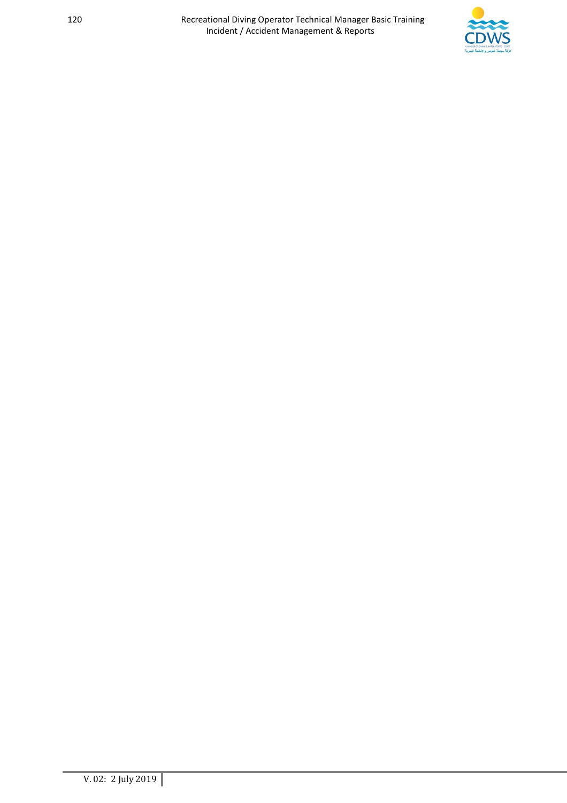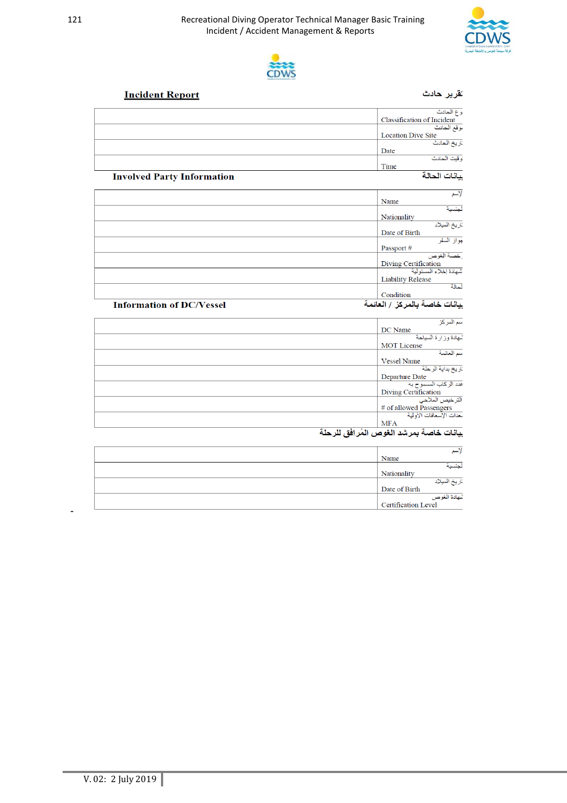#### 121 Recreational Diving Operator Technical Manager Basic Training Incident / Accident Management & Reports



ناريخ الميلاد

Date of Birth

Date of Birth<br>تشهادة الغوص<br>Certification Level



| <b>Incident Report</b>            | تقرير حادث                                         |
|-----------------------------------|----------------------------------------------------|
|                                   | نوع الحادث<br>Classification of Incident           |
|                                   | موقع الحادث<br><b>Location Dive Site</b>           |
|                                   | تاريخ الحادث                                       |
|                                   | Date<br>توقيت الحادث                               |
| <b>Involved Party Information</b> | Time<br>بيانات الحالة                              |
|                                   |                                                    |
|                                   | الإسم<br>Name                                      |
|                                   | الحنسئة<br>Nationality                             |
|                                   | تاريخ الميلاد<br>Date of Birth                     |
|                                   | جواز السفر<br>Passport #                           |
|                                   | خصة الغوص<br>Diving Certification                  |
|                                   | شهادة إخلاء المسئولية                              |
|                                   | <b>Liability Release</b><br>الحالة                 |
| <b>Information of DC/Vessel</b>   | Condition<br>بيانات خاصة بالمركز / العائمة         |
|                                   |                                                    |
|                                   | سم المركز<br>DC Name                               |
|                                   | لمهادة وزارة السياحة<br><b>MOT</b> License         |
|                                   | إسم العائمة<br><b>Vessel Name</b>                  |
|                                   | ناريخ بداية الرحلة                                 |
|                                   | Departure Date<br>عدد الركاب المسموح به            |
|                                   | Diving Certification<br>الترخيص الملاحي            |
|                                   | # of allowed Passengers<br>معدات الآسعافات الأولية |
|                                   | MFA                                                |
|                                   | بيانات خاصة بمرشد الغوص المُرافق للرحلة            |
|                                   | الإسم<br>Name                                      |
|                                   | لحنسبة<br>Nationality                              |
|                                   |                                                    |

-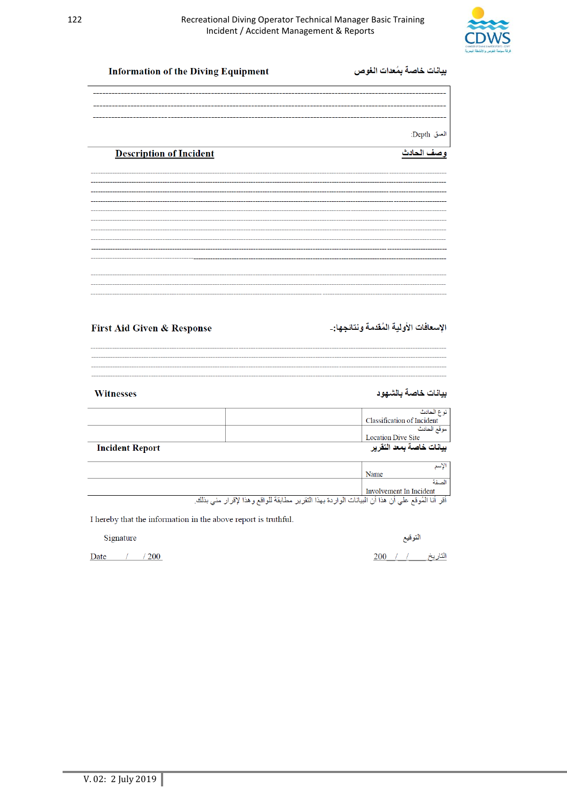

| <b>Information of the Diving Equipment</b>                                  | بيانات خاصة بمُعدات الغوص                                                                                                                               |
|-----------------------------------------------------------------------------|---------------------------------------------------------------------------------------------------------------------------------------------------------|
|                                                                             | العمق Depth:                                                                                                                                            |
| <b>Description of Incident</b>                                              | وصف الحادث                                                                                                                                              |
|                                                                             |                                                                                                                                                         |
|                                                                             |                                                                                                                                                         |
| <b>First Aid Given &amp; Response</b>                                       | الإسعافات الأولية المُقدمة ونتائجها:_                                                                                                                   |
| <b>Witnesses</b>                                                            | بيانات خاصة بالشهود                                                                                                                                     |
| <b>Incident Report</b>                                                      | نوع الحادث<br>– Classification of Incident<br>موقع الحادث<br><b>Location Dive Site</b><br>بيانات خاصة بمعد التقرير                                      |
|                                                                             | الإسم<br>Name<br>الصفة<br>_Involvement In Incident  <br>أقر أنا المُوقع علي أن هذا أن البيانات الواردة بهذا التقرير مطابقة للواقع وهذا لإقرار مني بذلك. |
| I hereby that the information in the above report is truthful.<br>Signature | التوقيع                                                                                                                                                 |
| Date / / 200                                                                | التاريخ / / 200                                                                                                                                         |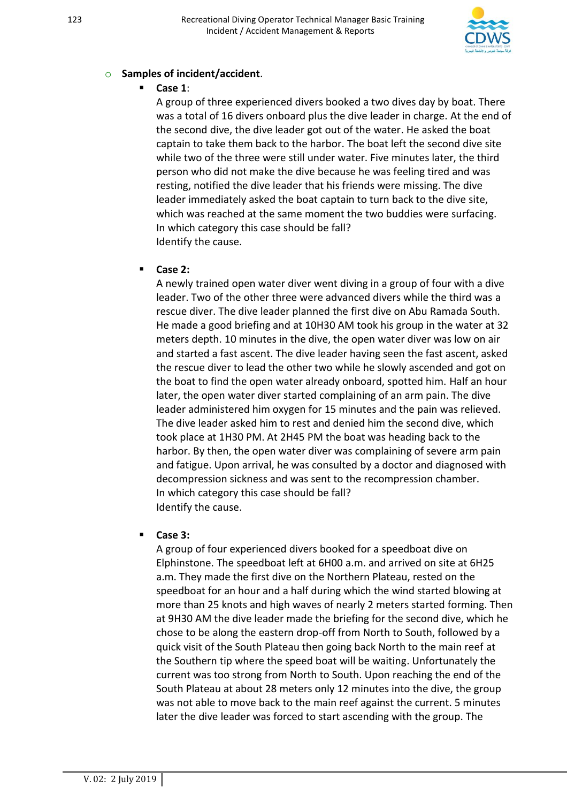

### o **Samples of incident/accident**.

#### **Case 1**:

A group of three experienced divers booked a two dives day by boat. There was a total of 16 divers onboard plus the dive leader in charge. At the end of the second dive, the dive leader got out of the water. He asked the boat captain to take them back to the harbor. The boat left the second dive site while two of the three were still under water. Five minutes later, the third person who did not make the dive because he was feeling tired and was resting, notified the dive leader that his friends were missing. The dive leader immediately asked the boat captain to turn back to the dive site, which was reached at the same moment the two buddies were surfacing. In which category this case should be fall? Identify the cause.

**Case 2:**

A newly trained open water diver went diving in a group of four with a dive leader. Two of the other three were advanced divers while the third was a rescue diver. The dive leader planned the first dive on Abu Ramada South. He made a good briefing and at 10H30 AM took his group in the water at 32 meters depth. 10 minutes in the dive, the open water diver was low on air and started a fast ascent. The dive leader having seen the fast ascent, asked the rescue diver to lead the other two while he slowly ascended and got on the boat to find the open water already onboard, spotted him. Half an hour later, the open water diver started complaining of an arm pain. The dive leader administered him oxygen for 15 minutes and the pain was relieved. The dive leader asked him to rest and denied him the second dive, which took place at 1H30 PM. At 2H45 PM the boat was heading back to the harbor. By then, the open water diver was complaining of severe arm pain and fatigue. Upon arrival, he was consulted by a doctor and diagnosed with decompression sickness and was sent to the recompression chamber. In which category this case should be fall? Identify the cause.

### **Case 3:**

A group of four experienced divers booked for a speedboat dive on Elphinstone. The speedboat left at 6H00 a.m. and arrived on site at 6H25 a.m. They made the first dive on the Northern Plateau, rested on the speedboat for an hour and a half during which the wind started blowing at more than 25 knots and high waves of nearly 2 meters started forming. Then at 9H30 AM the dive leader made the briefing for the second dive, which he chose to be along the eastern drop-off from North to South, followed by a quick visit of the South Plateau then going back North to the main reef at the Southern tip where the speed boat will be waiting. Unfortunately the current was too strong from North to South. Upon reaching the end of the South Plateau at about 28 meters only 12 minutes into the dive, the group was not able to move back to the main reef against the current. 5 minutes later the dive leader was forced to start ascending with the group. The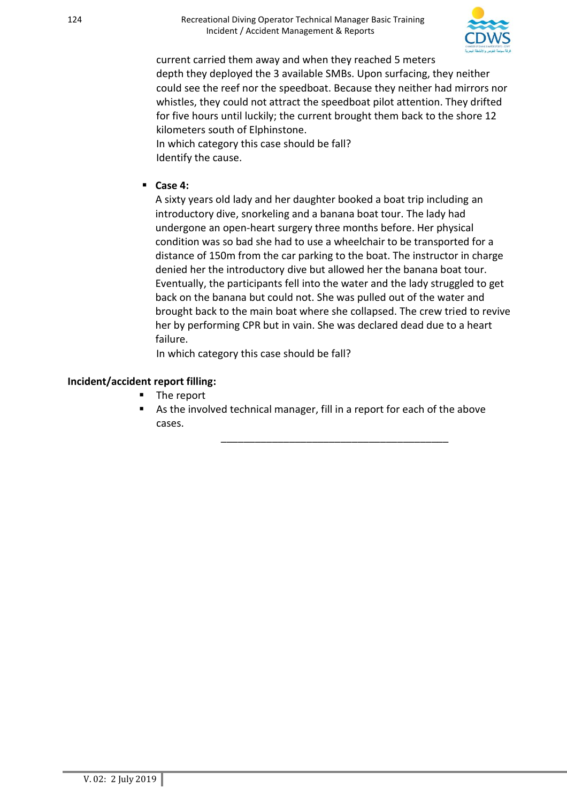

current carried them away and when they reached 5 meters depth they deployed the 3 available SMBs. Upon surfacing, they neither could see the reef nor the speedboat. Because they neither had mirrors nor whistles, they could not attract the speedboat pilot attention. They drifted for five hours until luckily; the current brought them back to the shore 12 kilometers south of Elphinstone. In which category this case should be fall? Identify the cause.

**Case 4:**

A sixty years old lady and her daughter booked a boat trip including an introductory dive, snorkeling and a banana boat tour. The lady had undergone an open-heart surgery three months before. Her physical condition was so bad she had to use a wheelchair to be transported for a distance of 150m from the car parking to the boat. The instructor in charge denied her the introductory dive but allowed her the banana boat tour. Eventually, the participants fell into the water and the lady struggled to get back on the banana but could not. She was pulled out of the water and brought back to the main boat where she collapsed. The crew tried to revive her by performing CPR but in vain. She was declared dead due to a heart failure.

In which category this case should be fall?

### **Incident/accident report filling:**

- The report
- As the involved technical manager, fill in a report for each of the above cases.

\_\_\_\_\_\_\_\_\_\_\_\_\_\_\_\_\_\_\_\_\_\_\_\_\_\_\_\_\_\_\_\_\_\_\_\_\_\_\_\_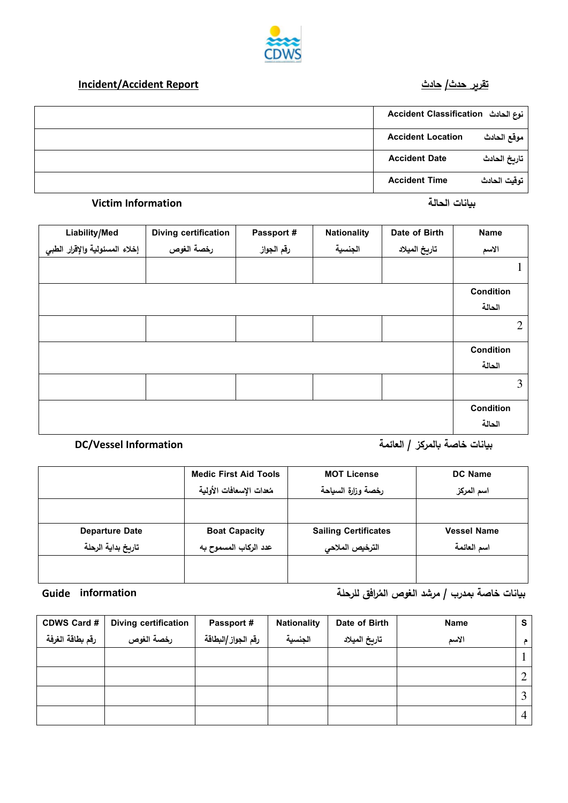

#### **Incident/Accident Report ª®œš ªʗšʙȂʙƀř**

| نوع الحادث Accident Classification |              |
|------------------------------------|--------------|
| <b>Accident Location</b>           | موقع الحادث  |
| <b>Accident Date</b>               | تاريخ الحادث |
| <b>Accident Time</b>               | توقيت الحادث |

## **Victim Information ŗƃœʲƃ¦©œƈœॻŕ**

**Liability/Med** إ**خ**لاء المسئولية والإقرار الطب*ي* **Diving certification** ر**خ**صة الغوص **Passport # رقم الجواز Nationality** الجنسية **Date of Birth** تاريخ الميلا*د* **Name** الاسم  $\mathbf{1}$ **Condition** الحالة  $\overline{c}$ **Condition** الحالة  $\overline{3}$ **Condition** الحالة

**DC/Vessel Information ŗʸőœŶƃ¦ʚؕʙʸƃœǺŗŮœŤ©œƈœॻŕ**

|                       | <b>Medic First Aid Tools</b> | <b>MOT License</b>          | <b>DC Name</b>     |
|-----------------------|------------------------------|-----------------------------|--------------------|
|                       | مُعدات الإسعافات الأولية     | رخصة وزارة السياحة          | اسم المركز         |
|                       |                              |                             |                    |
| <b>Departure Date</b> | <b>Boat Capacity</b>         | <b>Sailing Certificates</b> | <b>Vessel Name</b> |
| تاريخ بداية الرحلة    | عدد الركاب المسموح به        | الترخيص الملاحى             | اسم العائمة        |
|                       |                              |                             |                    |
|                       |                              |                             |                    |

**ŗƄšʙƄƃ Ȗż¦ʙ §°ʗʸǺŗŮœŤ©œƈœॻŕ <sup>É</sup> Guide information ʸƃ¦ ´ʦźƃ¦ ʗŬʙƆ**

| <b>CDWS Card #</b> | <b>Diving certification</b> | Passport #          | <b>Nationality</b> | Date of Birth | <b>Name</b> | S              |
|--------------------|-----------------------------|---------------------|--------------------|---------------|-------------|----------------|
| رقم بطاقة الغرفة   | رخصة الغوص                  | رقم الجواز /البطاقة | الجنسية            | تاريخ الميلاد | الاسم       |                |
|                    |                             |                     |                    |               |             |                |
|                    |                             |                     |                    |               |             | ി              |
|                    |                             |                     |                    |               |             | 3              |
|                    |                             |                     |                    |               |             | $\overline{4}$ |